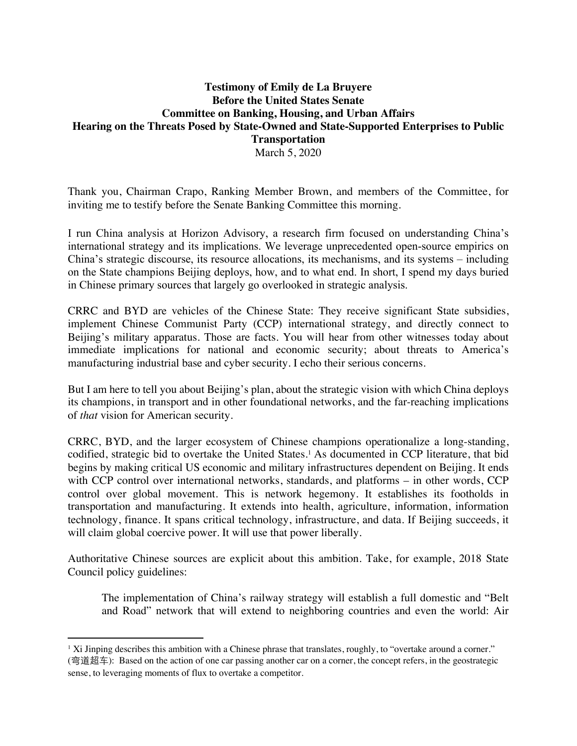## **Testimony of Emily de La Bruyere Before the United States Senate Committee on Banking, Housing, and Urban Affairs Hearing on the Threats Posed by State-Owned and State-Supported Enterprises to Public Transportation** March 5, 2020

Thank you, Chairman Crapo, Ranking Member Brown, and members of the Committee, for inviting me to testify before the Senate Banking Committee this morning.

I run China analysis at Horizon Advisory, a research firm focused on understanding China's international strategy and its implications. We leverage unprecedented open-source empirics on China's strategic discourse, its resource allocations, its mechanisms, and its systems – including on the State champions Beijing deploys, how, and to what end. In short, I spend my days buried in Chinese primary sources that largely go overlooked in strategic analysis.

CRRC and BYD are vehicles of the Chinese State: They receive significant State subsidies, implement Chinese Communist Party (CCP) international strategy, and directly connect to Beijing's military apparatus. Those are facts. You will hear from other witnesses today about immediate implications for national and economic security; about threats to America's manufacturing industrial base and cyber security. I echo their serious concerns.

But I am here to tell you about Beijing's plan, about the strategic vision with which China deploys its champions, in transport and in other foundational networks, and the far-reaching implications of *that* vision for American security.

CRRC, BYD, and the larger ecosystem of Chinese champions operationalize a long-standing, codified, strategic bid to overtake the United States.<sup>1</sup> As documented in CCP literature, that bid begins by making critical US economic and military infrastructures dependent on Beijing. It ends with CCP control over international networks, standards, and platforms – in other words, CCP control over global movement. This is network hegemony. It establishes its footholds in transportation and manufacturing. It extends into health, agriculture, information, information technology, finance. It spans critical technology, infrastructure, and data. If Beijing succeeds, it will claim global coercive power. It will use that power liberally.

Authoritative Chinese sources are explicit about this ambition. Take, for example, 2018 State Council policy guidelines:

The implementation of China's railway strategy will establish a full domestic and "Belt and Road" network that will extend to neighboring countries and even the world: Air

<sup>&</sup>lt;sup>1</sup> Xi Jinping describes this ambition with a Chinese phrase that translates, roughly, to "overtake around a corner." (弯道超车): Based on the action of one car passing another car on a corner, the concept refers, in the geostrategic sense, to leveraging moments of flux to overtake a competitor.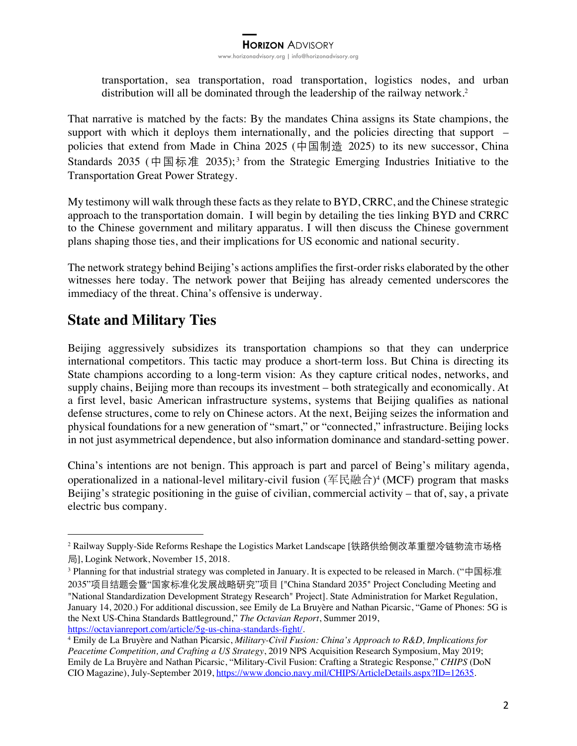transportation, sea transportation, road transportation, logistics nodes, and urban distribution will all be dominated through the leadership of the railway network.<sup>2</sup>

That narrative is matched by the facts: By the mandates China assigns its State champions, the support with which it deploys them internationally, and the policies directing that support – policies that extend from Made in China 2025 (中国制造 2025) to its new successor, China Standards 2035 (中国标准 2035);<sup>3</sup> from the Strategic Emerging Industries Initiative to the Transportation Great Power Strategy.

My testimony will walk through these facts as they relate to BYD, CRRC, and the Chinese strategic approach to the transportation domain. I will begin by detailing the ties linking BYD and CRRC to the Chinese government and military apparatus. I will then discuss the Chinese government plans shaping those ties, and their implications for US economic and national security.

The network strategy behind Beijing's actions amplifies the first-order risks elaborated by the other witnesses here today. The network power that Beijing has already cemented underscores the immediacy of the threat. China's offensive is underway.

# **State and Military Ties**

Beijing aggressively subsidizes its transportation champions so that they can underprice international competitors. This tactic may produce a short-term loss. But China is directing its State champions according to a long-term vision: As they capture critical nodes, networks, and supply chains, Beijing more than recoups its investment – both strategically and economically. At a first level, basic American infrastructure systems, systems that Beijing qualifies as national defense structures, come to rely on Chinese actors. At the next, Beijing seizes the information and physical foundations for a new generation of "smart," or "connected," infrastructure. Beijing locks in not just asymmetrical dependence, but also information dominance and standard-setting power.

China's intentions are not benign. This approach is part and parcel of Being's military agenda, operationalized in a national-level military-civil fusion  $(\nsubseteq \mathbb{R} \oplus \mathbb{A})^4$  (MCF) program that masks Beijing's strategic positioning in the guise of civilian, commercial activity – that of, say, a private electric bus company.

<sup>3</sup> Planning for that industrial strategy was completed in January. It is expected to be released in March. ("中国标准 2035"项目结题会暨"国家标准化发展战略研究"项目 ["China Standard 2035" Project Concluding Meeting and "National Standardization Development Strategy Research" Project]. State Administration for Market Regulation, January 14, 2020.) For additional discussion, see Emily de La Bruyère and Nathan Picarsic, "Game of Phones: 5G is the Next US-China Standards Battleground," *The Octavian Report*, Summer 2019, https://octavianreport.com/article/5g-us-china-standards-fight/.

<sup>2</sup> Railway Supply-Side Reforms Reshape the Logistics Market Landscape [铁路供给侧改革重塑冷链物流市场格 局], Logink Network, November 15, 2018.

<sup>4</sup> Emily de La Bruyère and Nathan Picarsic, *Military-Civil Fusion: China's Approach to R&D, Implications for Peacetime Competition, and Crafting a US Strategy*, 2019 NPS Acquisition Research Symposium, May 2019; Emily de La Bruyère and Nathan Picarsic, "Military-Civil Fusion: Crafting a Strategic Response," *CHIPS* (DoN CIO Magazine), July-September 2019, https://www.doncio.navy.mil/CHIPS/ArticleDetails.aspx?ID=12635.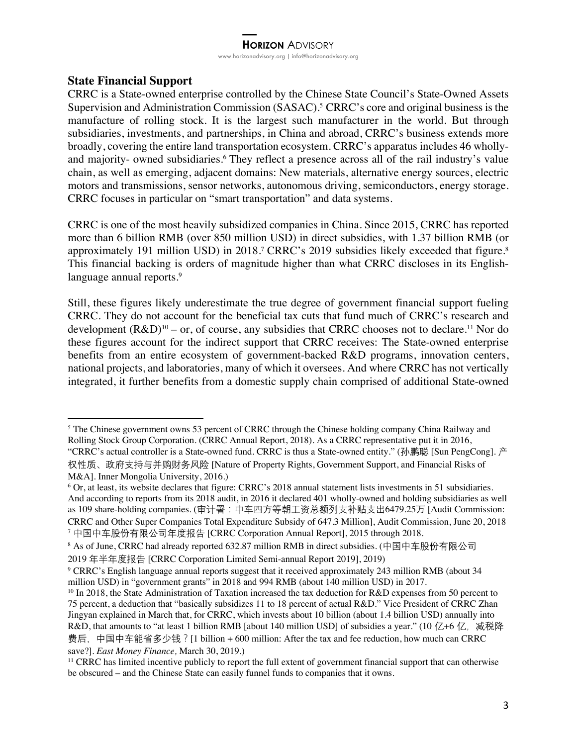## **State Financial Support**

CRRC is a State-owned enterprise controlled by the Chinese State Council's State-Owned Assets Supervision and Administration Commission (SASAC).5 CRRC's core and original business is the manufacture of rolling stock. It is the largest such manufacturer in the world. But through subsidiaries, investments, and partnerships, in China and abroad, CRRC's business extends more broadly, covering the entire land transportation ecosystem. CRRC's apparatus includes 46 whollyand majority- owned subsidiaries.<sup>6</sup> They reflect a presence across all of the rail industry's value chain, as well as emerging, adjacent domains: New materials, alternative energy sources, electric motors and transmissions, sensor networks, autonomous driving, semiconductors, energy storage. CRRC focuses in particular on "smart transportation" and data systems.

CRRC is one of the most heavily subsidized companies in China. Since 2015, CRRC has reported more than 6 billion RMB (over 850 million USD) in direct subsidies, with 1.37 billion RMB (or approximately 191 million USD) in 2018.<sup>7</sup> CRRC's 2019 subsidies likely exceeded that figure.<sup>8</sup> This financial backing is orders of magnitude higher than what CRRC discloses in its Englishlanguage annual reports.<sup>9</sup>

Still, these figures likely underestimate the true degree of government financial support fueling CRRC. They do not account for the beneficial tax cuts that fund much of CRRC's research and development  $(R&D)^{10}$  – or, of course, any subsidies that CRRC chooses not to declare.<sup>11</sup> Nor do these figures account for the indirect support that CRRC receives: The State-owned enterprise benefits from an entire ecosystem of government-backed R&D programs, innovation centers, national projects, and laboratories, many of which it oversees. And where CRRC has not vertically integrated, it further benefits from a domestic supply chain comprised of additional State-owned

<sup>5</sup> The Chinese government owns 53 percent of CRRC through the Chinese holding company China Railway and Rolling Stock Group Corporation. (CRRC Annual Report, 2018). As a CRRC representative put it in 2016, "CRRC's actual controller is a State-owned fund. CRRC is thus a State-owned entity." (孙鹏聪 [Sun PengCong]. 产

权性质、政府支持与并购财务风险 [Nature of Property Rights, Government Support, and Financial Risks of M&A]. Inner Mongolia University, 2016.)

<sup>6</sup> Or, at least, its website declares that figure: CRRC's 2018 annual statement lists investments in 51 subsidiaries. And according to reports from its 2018 audit, in 2016 it declared 401 wholly-owned and holding subsidiaries as well as 109 share-holding companies. (审计署:中车四方等朝工资总额列支补贴支出6479.25万 [Audit Commission: CRRC and Other Super Companies Total Expenditure Subsidy of 647.3 Million], Audit Commission, June 20, 2018 <sup>7</sup> 中国中车股份有限公司年度报告 [CRRC Corporation Annual Report], 2015 through 2018.

<sup>8</sup> As of June, CRRC had already reported 632.87 million RMB in direct subsidies. (中国中车股份有限公司

<sup>2019</sup> 年半年度报告 [CRRC Corporation Limited Semi-annual Report 2019], 2019)

<sup>9</sup> CRRC's English language annual reports suggest that it received approximately 243 million RMB (about 34 million USD) in "government grants" in 2018 and 994 RMB (about 140 million USD) in 2017.

<sup>&</sup>lt;sup>10</sup> In 2018, the State Administration of Taxation increased the tax deduction for R&D expenses from 50 percent to 75 percent, a deduction that "basically subsidizes 11 to 18 percent of actual R&D." Vice President of CRRC Zhan Jingyan explained in March that, for CRRC, which invests about 10 billion (about 1.4 billion USD) annually into R&D, that amounts to "at least 1 billion RMB [about 140 million USD] of subsidies a year." (10 亿+6 亿, 减税降 费后,中国中车能省多少钱?[1 billion + 600 million: After the tax and fee reduction, how much can CRRC save?]. *East Money Finance,* March 30, 2019.)

<sup>11</sup> CRRC has limited incentive publicly to report the full extent of government financial support that can otherwise be obscured – and the Chinese State can easily funnel funds to companies that it owns.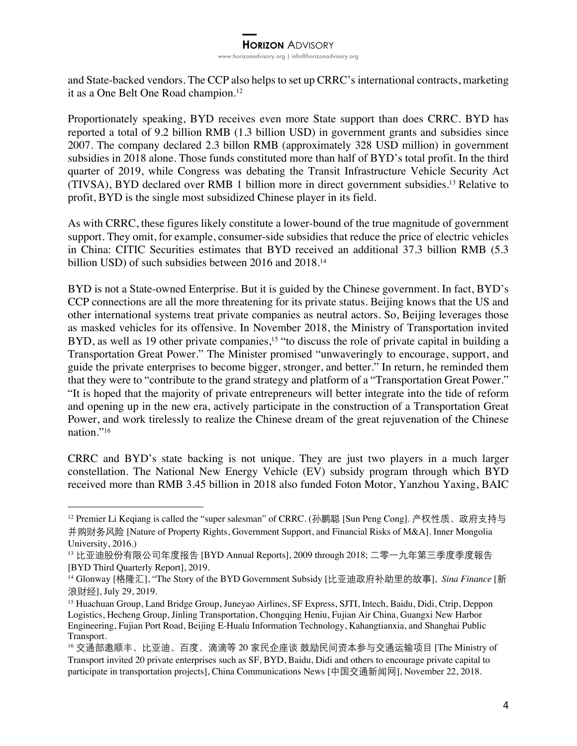and State-backed vendors. The CCP also helps to set up CRRC's international contracts, marketing it as a One Belt One Road champion.<sup>12</sup>

Proportionately speaking, BYD receives even more State support than does CRRC. BYD has reported a total of 9.2 billion RMB (1.3 billion USD) in government grants and subsidies since 2007. The company declared 2.3 billon RMB (approximately 328 USD million) in government subsidies in 2018 alone. Those funds constituted more than half of BYD's total profit. In the third quarter of 2019, while Congress was debating the Transit Infrastructure Vehicle Security Act (TIVSA), BYD declared over RMB 1 billion more in direct government subsidies. <sup>13</sup> Relative to profit, BYD is the single most subsidized Chinese player in its field.

As with CRRC, these figures likely constitute a lower-bound of the true magnitude of government support. They omit, for example, consumer-side subsidies that reduce the price of electric vehicles in China: CITIC Securities estimates that BYD received an additional 37.3 billion RMB (5.3 billion USD) of such subsidies between 2016 and 2018.<sup>14</sup>

BYD is not a State-owned Enterprise. But it is guided by the Chinese government. In fact, BYD's CCP connections are all the more threatening for its private status. Beijing knows that the US and other international systems treat private companies as neutral actors. So, Beijing leverages those as masked vehicles for its offensive. In November 2018, the Ministry of Transportation invited BYD, as well as 19 other private companies,<sup>15</sup> "to discuss the role of private capital in building a Transportation Great Power." The Minister promised "unwaveringly to encourage, support, and guide the private enterprises to become bigger, stronger, and better." In return, he reminded them that they were to "contribute to the grand strategy and platform of a "Transportation Great Power." "It is hoped that the majority of private entrepreneurs will better integrate into the tide of reform and opening up in the new era, actively participate in the construction of a Transportation Great Power, and work tirelessly to realize the Chinese dream of the great rejuvenation of the Chinese nation."16

CRRC and BYD's state backing is not unique. They are just two players in a much larger constellation. The National New Energy Vehicle (EV) subsidy program through which BYD received more than RMB 3.45 billion in 2018 also funded Foton Motor, Yanzhou Yaxing, BAIC

<sup>12</sup> Premier Li Keqiang is called the "super salesman" of CRRC. (孙鹏聪 [Sun Peng Cong]. 产权性质、政府支持与 并购财务风险 [Nature of Property Rights, Government Support, and Financial Risks of M&A]. Inner Mongolia University, 2016.)

<sup>13</sup> 比亚迪股份有限公司年度报告 [BYD Annual Reports], 2009 through 2018; 二零一九年第三季度季度報告 [BYD Third Quarterly Report], 2019.

<sup>14</sup> Glonway [格隆汇], "The Story of the BYD Government Subsidy [比亚迪政府补助里的故事], *Sina Finance* [新 浪财经], July 29, 2019.

<sup>15</sup> Huachuan Group, Land Bridge Group, Juneyao Airlines, SF Express, SJTI, Intech, Baidu, Didi, Ctrip, Deppon Logistics, Hecheng Group, Jinling Transportation, Chongqing Heniu, Fujian Air China, Guangxi New Harbor Engineering, Fujian Port Road, Beijing E-Hualu Information Technology, Kahangtianxia, and Shanghai Public Transport.

<sup>16</sup> 交通部邀顺丰、比亚迪、百度、滴滴等 20 家民企座谈 鼓励民间资本参与交通运输项目 [The Ministry of Transport invited 20 private enterprises such as SF, BYD, Baidu, Didi and others to encourage private capital to participate in transportation projects], China Communications News [中国交通新闻网], November 22, 2018.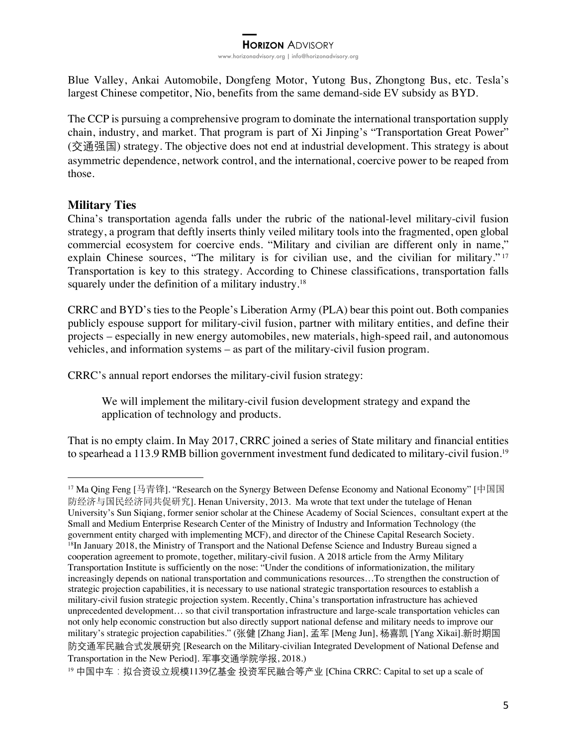Blue Valley, Ankai Automobile, Dongfeng Motor, Yutong Bus, Zhongtong Bus, etc. Tesla's largest Chinese competitor, Nio, benefits from the same demand-side EV subsidy as BYD.

The CCP is pursuing a comprehensive program to dominate the international transportation supply chain, industry, and market. That program is part of Xi Jinping's "Transportation Great Power" (交通强国) strategy. The objective does not end at industrial development. This strategy is about asymmetric dependence, network control, and the international, coercive power to be reaped from those.

## **Military Ties**

China's transportation agenda falls under the rubric of the national-level military-civil fusion strategy, a program that deftly inserts thinly veiled military tools into the fragmented, open global commercial ecosystem for coercive ends. "Military and civilian are different only in name," explain Chinese sources, "The military is for civilian use, and the civilian for military."<sup>17</sup> Transportation is key to this strategy. According to Chinese classifications, transportation falls squarely under the definition of a military industry.<sup>18</sup>

CRRC and BYD's ties to the People's Liberation Army (PLA) bear this point out. Both companies publicly espouse support for military-civil fusion, partner with military entities, and define their projects – especially in new energy automobiles, new materials, high-speed rail, and autonomous vehicles, and information systems – as part of the military-civil fusion program.

CRRC's annual report endorses the military-civil fusion strategy:

We will implement the military-civil fusion development strategy and expand the application of technology and products.

That is no empty claim. In May 2017, CRRC joined a series of State military and financial entities to spearhead a 113.9 RMB billion government investment fund dedicated to military-civil fusion.<sup>19</sup>

<sup>17</sup> Ma Qing Feng [马青锋]. "Research on the Synergy Between Defense Economy and National Economy" [中国国 防经济与国民经济同共促研究]. Henan University, 2013. Ma wrote that text under the tutelage of Henan University's Sun Siqiang, former senior scholar at the Chinese Academy of Social Sciences, consultant expert at the Small and Medium Enterprise Research Center of the Ministry of Industry and Information Technology (the government entity charged with implementing MCF), and director of the Chinese Capital Research Society. 18In January 2018, the Ministry of Transport and the National Defense Science and Industry Bureau signed a cooperation agreement to promote, together, military-civil fusion. A 2018 article from the Army Military Transportation Institute is sufficiently on the nose: "Under the conditions of informationization, the military increasingly depends on national transportation and communications resources…To strengthen the construction of strategic projection capabilities, it is necessary to use national strategic transportation resources to establish a military-civil fusion strategic projection system. Recently, China's transportation infrastructure has achieved unprecedented development… so that civil transportation infrastructure and large-scale transportation vehicles can not only help economic construction but also directly support national defense and military needs to improve our military's strategic projection capabilities." (张健 [Zhang Jian], 孟军 [Meng Jun], 杨喜凯 [Yang Xikai].新时期国 防交通军民融合式发展研究 [Research on the Military-civilian Integrated Development of National Defense and Transportation in the New Period]. 军事交通学院学报, 2018.)

<sup>19</sup> 中国中车:拟合资设立规模1139亿基金 投资军民融合等产业 [China CRRC: Capital to set up a scale of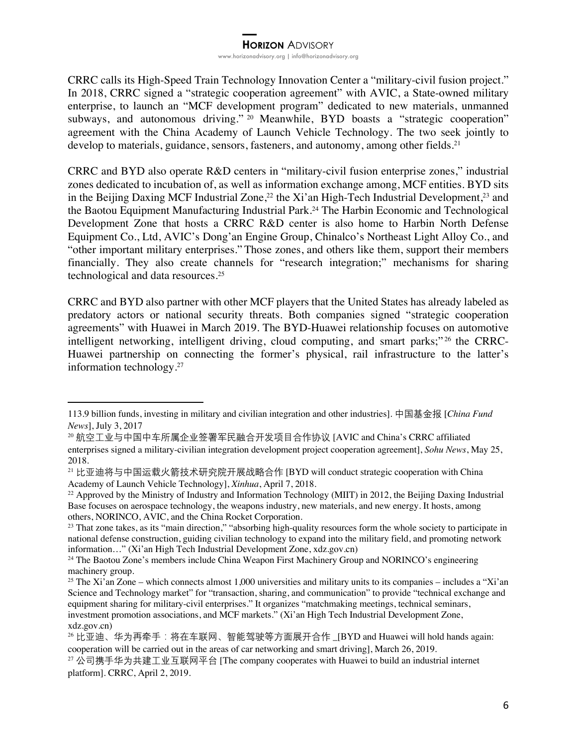CRRC calls its High-Speed Train Technology Innovation Center a "military-civil fusion project." In 2018, CRRC signed a "strategic cooperation agreement" with AVIC, a State-owned military enterprise, to launch an "MCF development program" dedicated to new materials, unmanned subways, and autonomous driving." <sup>20</sup> Meanwhile, BYD boasts a "strategic cooperation" agreement with the China Academy of Launch Vehicle Technology. The two seek jointly to develop to materials, guidance, sensors, fasteners, and autonomy, among other fields.<sup>21</sup>

CRRC and BYD also operate R&D centers in "military-civil fusion enterprise zones," industrial zones dedicated to incubation of, as well as information exchange among, MCF entities. BYD sits in the Beijing Daxing MCF Industrial Zone,<sup>22</sup> the Xi'an High-Tech Industrial Development,<sup>23</sup> and the Baotou Equipment Manufacturing Industrial Park.24 The Harbin Economic and Technological Development Zone that hosts a CRRC R&D center is also home to Harbin North Defense Equipment Co., Ltd, AVIC's Dong'an Engine Group, Chinalco's Northeast Light Alloy Co., and "other important military enterprises." Those zones, and others like them, support their members financially. They also create channels for "research integration;" mechanisms for sharing technological and data resources.25

CRRC and BYD also partner with other MCF players that the United States has already labeled as predatory actors or national security threats. Both companies signed "strategic cooperation agreements" with Huawei in March 2019. The BYD-Huawei relationship focuses on automotive intelligent networking, intelligent driving, cloud computing, and smart parks;"<sup>26</sup> the CRRC-Huawei partnership on connecting the former's physical, rail infrastructure to the latter's information technology.27

<sup>113.9</sup> billion funds, investing in military and civilian integration and other industries]. 中国基金报 [*China Fund News*], July 3, 2017

<sup>20</sup> 航空工业与中国中车所属企业签署军民融合开发项目合作协议 [AVIC and China's CRRC affiliated

enterprises signed a military-civilian integration development project cooperation agreement], *Sohu News*, May 25, 2018.

<sup>21</sup> 比亚迪将与中国运载火箭技术研究院开展战略合作 [BYD will conduct strategic cooperation with China Academy of Launch Vehicle Technology], *Xinhua*, April 7, 2018.

<sup>&</sup>lt;sup>22</sup> Approved by the Ministry of Industry and Information Technology (MIIT) in 2012, the Beijing Daxing Industrial Base focuses on aerospace technology, the weapons industry, new materials, and new energy. It hosts, among others, NORINCO, AVIC, and the China Rocket Corporation.

<sup>&</sup>lt;sup>23</sup> That zone takes, as its "main direction," "absorbing high-quality resources form the whole society to participate in national defense construction, guiding civilian technology to expand into the military field, and promoting network information…" (Xi'an High Tech Industrial Development Zone, xdz.gov.cn)

<sup>&</sup>lt;sup>24</sup> The Baotou Zone's members include China Weapon First Machinery Group and NORINCO's engineering machinery group.

<sup>&</sup>lt;sup>25</sup> The Xi'an Zone – which connects almost 1,000 universities and military units to its companies – includes a "Xi'an Science and Technology market" for "transaction, sharing, and communication" to provide "technical exchange and equipment sharing for military-civil enterprises." It organizes "matchmaking meetings, technical seminars, investment promotion associations, and MCF markets." (Xi'an High Tech Industrial Development Zone, xdz.gov.cn)

<sup>&</sup>lt;sup>26</sup> 比亚迪、华为再牵手:将在车联网、智能驾驶等方面展开合作 \_[BYD and Huawei will hold hands again: cooperation will be carried out in the areas of car networking and smart driving], March 26, 2019.

 $27$  公司携手华为共建工业互联网平台 [The company cooperates with Huawei to build an industrial internet platform]. CRRC, April 2, 2019.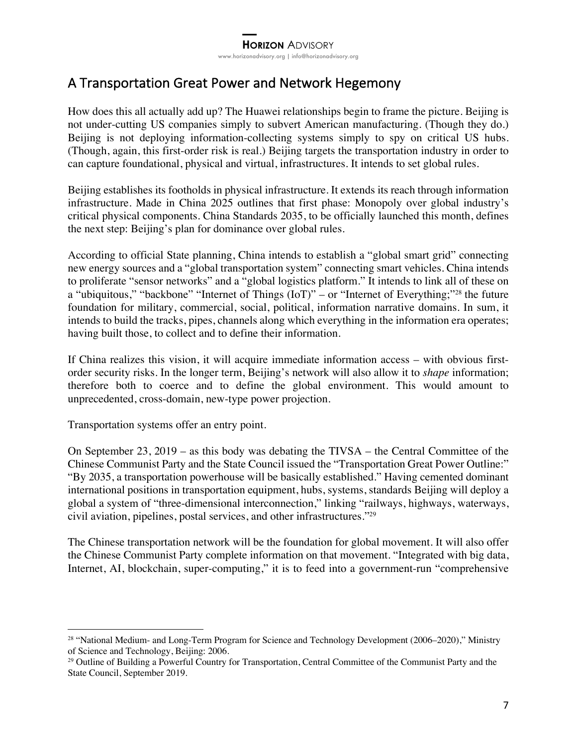## A Transportation Great Power and Network Hegemony

How does this all actually add up? The Huawei relationships begin to frame the picture. Beijing is not under-cutting US companies simply to subvert American manufacturing. (Though they do.) Beijing is not deploying information-collecting systems simply to spy on critical US hubs. (Though, again, this first-order risk is real.) Beijing targets the transportation industry in order to can capture foundational, physical and virtual, infrastructures. It intends to set global rules.

Beijing establishes its footholds in physical infrastructure. It extends its reach through information infrastructure. Made in China 2025 outlines that first phase: Monopoly over global industry's critical physical components. China Standards 2035, to be officially launched this month, defines the next step: Beijing's plan for dominance over global rules.

According to official State planning, China intends to establish a "global smart grid" connecting new energy sources and a "global transportation system" connecting smart vehicles. China intends to proliferate "sensor networks" and a "global logistics platform." It intends to link all of these on a "ubiquitous," "backbone" "Internet of Things (IoT)" – or "Internet of Everything;"28 the future foundation for military, commercial, social, political, information narrative domains. In sum, it intends to build the tracks, pipes, channels along which everything in the information era operates; having built those, to collect and to define their information.

If China realizes this vision, it will acquire immediate information access – with obvious firstorder security risks. In the longer term, Beijing's network will also allow it to *shape* information; therefore both to coerce and to define the global environment. This would amount to unprecedented, cross-domain, new-type power projection.

Transportation systems offer an entry point.

On September 23, 2019 – as this body was debating the TIVSA – the Central Committee of the Chinese Communist Party and the State Council issued the "Transportation Great Power Outline:" "By 2035, a transportation powerhouse will be basically established." Having cemented dominant international positions in transportation equipment, hubs, systems, standards Beijing will deploy a global a system of "three-dimensional interconnection," linking "railways, highways, waterways, civil aviation, pipelines, postal services, and other infrastructures."29

The Chinese transportation network will be the foundation for global movement. It will also offer the Chinese Communist Party complete information on that movement. "Integrated with big data, Internet, AI, blockchain, super-computing," it is to feed into a government-run "comprehensive

<sup>&</sup>lt;sup>28</sup> "National Medium- and Long-Term Program for Science and Technology Development (2006–2020)," Ministry of Science and Technology, Beijing: 2006.

<sup>&</sup>lt;sup>29</sup> Outline of Building a Powerful Country for Transportation, Central Committee of the Communist Party and the State Council, September 2019.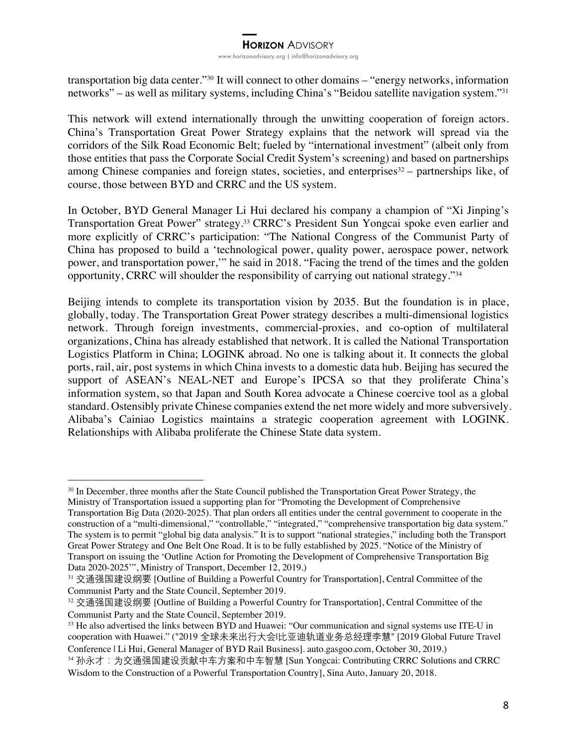transportation big data center."30 It will connect to other domains – "energy networks, information networks" – as well as military systems, including China's "Beidou satellite navigation system."31

This network will extend internationally through the unwitting cooperation of foreign actors. China's Transportation Great Power Strategy explains that the network will spread via the corridors of the Silk Road Economic Belt; fueled by "international investment" (albeit only from those entities that pass the Corporate Social Credit System's screening) and based on partnerships among Chinese companies and foreign states, societies, and enterprises $32 -$  partnerships like, of course, those between BYD and CRRC and the US system.

In October, BYD General Manager Li Hui declared his company a champion of "Xi Jinping's Transportation Great Power" strategy.33 CRRC's President Sun Yongcai spoke even earlier and more explicitly of CRRC's participation: "The National Congress of the Communist Party of China has proposed to build a 'technological power, quality power, aerospace power, network power, and transportation power,'" he said in 2018. "Facing the trend of the times and the golden opportunity, CRRC will shoulder the responsibility of carrying out national strategy."34

Beijing intends to complete its transportation vision by 2035. But the foundation is in place, globally, today. The Transportation Great Power strategy describes a multi-dimensional logistics network. Through foreign investments, commercial-proxies, and co-option of multilateral organizations, China has already established that network. It is called the National Transportation Logistics Platform in China; LOGINK abroad. No one is talking about it. It connects the global ports, rail, air, post systems in which China invests to a domestic data hub. Beijing has secured the support of ASEAN's NEAL-NET and Europe's IPCSA so that they proliferate China's information system, so that Japan and South Korea advocate a Chinese coercive tool as a global standard. Ostensibly private Chinese companies extend the net more widely and more subversively. Alibaba's Cainiao Logistics maintains a strategic cooperation agreement with LOGINK. Relationships with Alibaba proliferate the Chinese State data system.

<sup>&</sup>lt;sup>30</sup> In December, three months after the State Council published the Transportation Great Power Strategy, the Ministry of Transportation issued a supporting plan for "Promoting the Development of Comprehensive

Transportation Big Data (2020-2025). That plan orders all entities under the central government to cooperate in the construction of a "multi-dimensional," "controllable," "integrated," "comprehensive transportation big data system." The system is to permit "global big data analysis." It is to support "national strategies," including both the Transport Great Power Strategy and One Belt One Road. It is to be fully established by 2025. "Notice of the Ministry of Transport on issuing the 'Outline Action for Promoting the Development of Comprehensive Transportation Big Data 2020-2025'", Ministry of Transport, December 12, 2019.)

<sup>31</sup> 交通强国建设纲要 [Outline of Building a Powerful Country for Transportation], Central Committee of the Communist Party and the State Council, September 2019.

<sup>32</sup> 交通强国建设纲要 [Outline of Building a Powerful Country for Transportation], Central Committee of the Communist Party and the State Council, September 2019.

<sup>&</sup>lt;sup>33</sup> He also advertised the links between BYD and Huawei: "Our communication and signal systems use ITE-U in cooperation with Huawei." ("2019 全球未来出行大会|比亚迪轨道业务总经理李慧" [2019 Global Future Travel Conference | Li Hui, General Manager of BYD Rail Business]. auto.gasgoo.com, October 30, 2019.)

<sup>34</sup> 孙永才:为交通强国建设贡献中车方案和中车智慧 [Sun Yongcai: Contributing CRRC Solutions and CRRC Wisdom to the Construction of a Powerful Transportation Country], Sina Auto, January 20, 2018.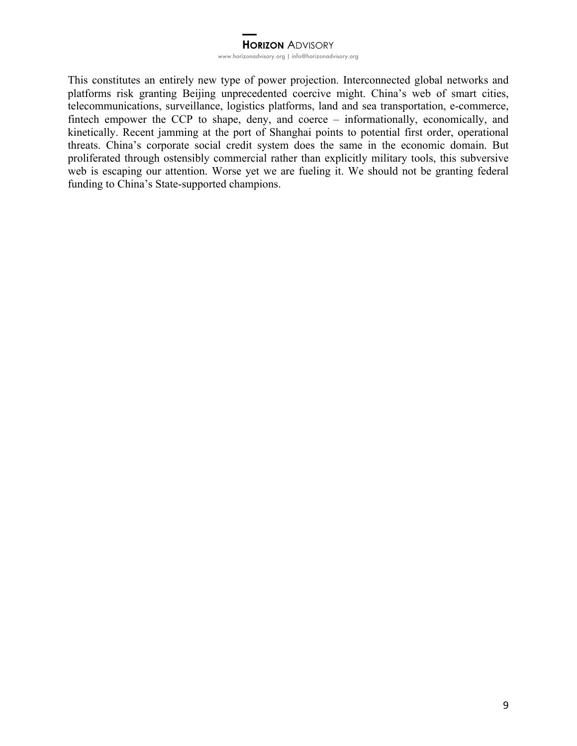This constitutes an entirely new type of power projection. Interconnected global networks and platforms risk granting Beijing unprecedented coercive might. China's web of smart cities, telecommunications, surveillance, logistics platforms, land and sea transportation, e-commerce, fintech empower the CCP to shape, deny, and coerce – informationally, economically, and kinetically. Recent jamming at the port of Shanghai points to potential first order, operational threats. China's corporate social credit system does the same in the economic domain. But proliferated through ostensibly commercial rather than explicitly military tools, this subversive web is escaping our attention. Worse yet we are fueling it. We should not be granting federal funding to China's State-supported champions.